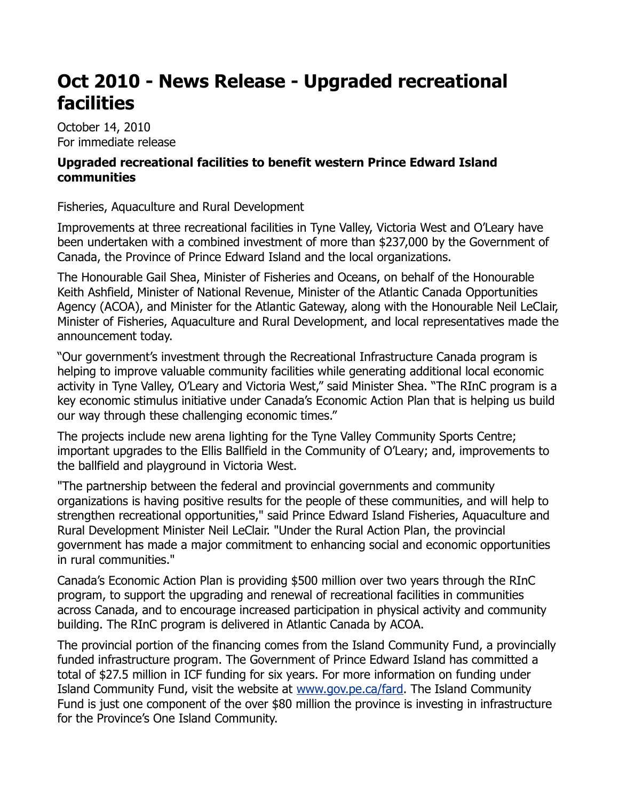## **Oct 2010 - News Release - Upgraded recreational facilities**

October 14, 2010 For immediate release

## **Upgraded recreational facilities to benefit western Prince Edward Island communities**

Fisheries, Aquaculture and Rural Development

Improvements at three recreational facilities in Tyne Valley, Victoria West and O'Leary have been undertaken with a combined investment of more than \$237,000 by the Government of Canada, the Province of Prince Edward Island and the local organizations.

The Honourable Gail Shea, Minister of Fisheries and Oceans, on behalf of the Honourable Keith Ashfield, Minister of National Revenue, Minister of the Atlantic Canada Opportunities Agency (ACOA), and Minister for the Atlantic Gateway, along with the Honourable Neil LeClair, Minister of Fisheries, Aquaculture and Rural Development, and local representatives made the announcement today.

"Our government's investment through the Recreational Infrastructure Canada program is helping to improve valuable community facilities while generating additional local economic activity in Tyne Valley, O'Leary and Victoria West," said Minister Shea. "The RInC program is a key economic stimulus initiative under Canada's Economic Action Plan that is helping us build our way through these challenging economic times."

The projects include new arena lighting for the Tyne Valley Community Sports Centre; important upgrades to the Ellis Ballfield in the Community of O'Leary; and, improvements to the ballfield and playground in Victoria West.

"The partnership between the federal and provincial governments and community organizations is having positive results for the people of these communities, and will help to strengthen recreational opportunities," said Prince Edward Island Fisheries, Aquaculture and Rural Development Minister Neil LeClair. "Under the Rural Action Plan, the provincial government has made a major commitment to enhancing social and economic opportunities in rural communities."

Canada's Economic Action Plan is providing \$500 million over two years through the RInC program, to support the upgrading and renewal of recreational facilities in communities across Canada, and to encourage increased participation in physical activity and community building. The RInC program is delivered in Atlantic Canada by ACOA.

The provincial portion of the financing comes from the Island Community Fund, a provincially funded infrastructure program. The Government of Prince Edward Island has committed a total of \$27.5 million in ICF funding for six years. For more information on funding under Island Community Fund, visit the website at [www.gov.pe.ca/fard.](http://www.gov.pe.ca/fard) The Island Community Fund is just one component of the over \$80 million the province is investing in infrastructure for the Province's One Island Community.